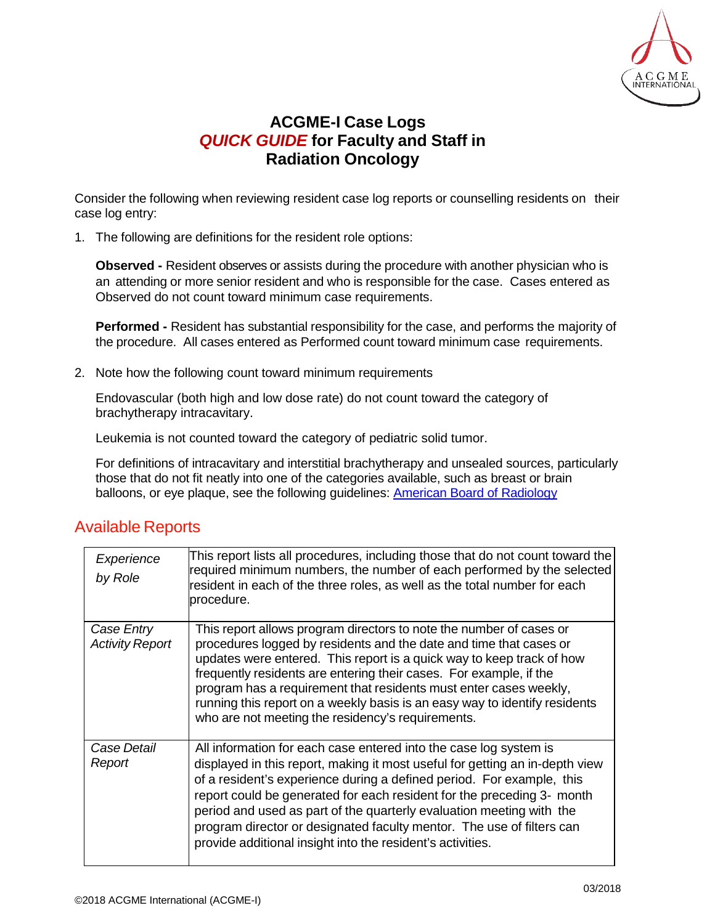

## **ACGME-I Case Logs** *QUICK GUIDE* **for Faculty and Staff in Radiation Oncology**

Consider the following when reviewing resident case log reports or counselling residents on their case log entry:

1. The following are definitions for the resident role options:

**Observed -** Resident observes or assists during the procedure with another physician who is an attending or more senior resident and who is responsible for the case. Cases entered as Observed do not count toward minimum case requirements.

**Performed -** Resident has substantial responsibility for the case, and performs the majority of the procedure. All cases entered as Performed count toward minimum case requirements.

2. Note how the following count toward minimum requirements

Endovascular (both high and low dose rate) do not count toward the category of brachytherapy intracavitary.

Leukemia is not counted toward the category of pediatric solid tumor.

For definitions of intracavitary and interstitial brachytherapy and unsealed sources, particularly those that do not fit neatly into one of the categories available, such as breast or brain balloons, or eye plaque, see the following guidelines: [American Board of Radiology](https://www.theabr.org/sites/all/themes/abr-media/pdf/CSD_BrachytherapyRequirementsPolicy.pdf)

## Available Reports

| Experience<br>by Role                | This report lists all procedures, including those that do not count toward the<br>required minimum numbers, the number of each performed by the selected<br>resident in each of the three roles, as well as the total number for each<br>procedure.                                                                                                                                                                                                                                                                 |
|--------------------------------------|---------------------------------------------------------------------------------------------------------------------------------------------------------------------------------------------------------------------------------------------------------------------------------------------------------------------------------------------------------------------------------------------------------------------------------------------------------------------------------------------------------------------|
| Case Entry<br><b>Activity Report</b> | This report allows program directors to note the number of cases or<br>procedures logged by residents and the date and time that cases or<br>updates were entered. This report is a quick way to keep track of how<br>frequently residents are entering their cases. For example, if the<br>program has a requirement that residents must enter cases weekly,<br>running this report on a weekly basis is an easy way to identify residents<br>who are not meeting the residency's requirements.                    |
| Case Detail<br>Report                | All information for each case entered into the case log system is<br>displayed in this report, making it most useful for getting an in-depth view<br>of a resident's experience during a defined period. For example, this<br>report could be generated for each resident for the preceding 3- month<br>period and used as part of the quarterly evaluation meeting with the<br>program director or designated faculty mentor. The use of filters can<br>provide additional insight into the resident's activities. |